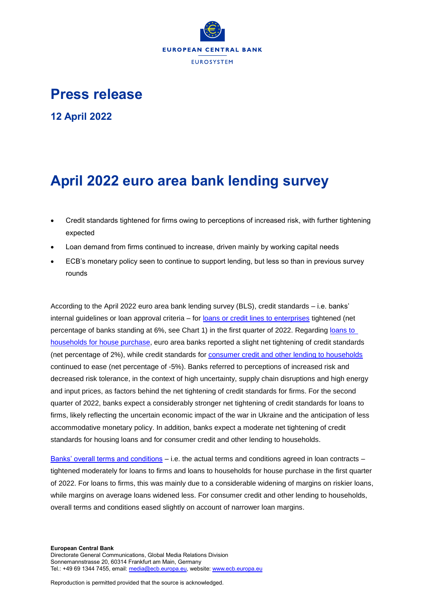

## **Press release**

**12 April 2022**

# **April 2022 euro area bank lending survey**

- Credit standards tightened for firms owing to perceptions of increased risk, with further tightening expected
- Loan demand from firms continued to increase, driven mainly by working capital needs
- ECB's monetary policy seen to continue to support lending, but less so than in previous survey rounds

According to the April 2022 euro area bank lending survey (BLS), credit standards – i.e. banks' internal guidelines or loan approval criteria – for [loans or credit lines to enterprises](https://sdw.ecb.europa.eu/quickview.do?SERIES_KEY=258.BLS.Q.U2.ALL.O.E.Z.B3.ST.S.WFNET) tightened (net percentage of banks standing at 6%, see Chart 1) in the first quarter of 2022. Regarding loans to [households for house purchase,](https://sdw.ecb.europa.eu/quickview.do?SERIES_KEY=258.BLS.Q.U2.ALL.Z.H.H.B3.ST.S.WFNET) euro area banks reported a slight net tightening of credit standards (net percentage of 2%), while credit standards for [consumer credit and other lending to households](https://sdw.ecb.europa.eu/quickview.do?SERIES_KEY=258.BLS.Q.U2.ALL.Z.H.C.B3.ST.S.WFNET) continued to ease (net percentage of -5%). Banks referred to perceptions of increased risk and decreased risk tolerance, in the context of high uncertainty, supply chain disruptions and high energy and input prices, as factors behind the net tightening of credit standards for firms. For the second quarter of 2022, banks expect a considerably stronger net tightening of credit standards for loans to firms, likely reflecting the uncertain economic impact of the war in Ukraine and the anticipation of less accommodative monetary policy. In addition, banks expect a moderate net tightening of credit standards for housing loans and for consumer credit and other lending to households.

[Banks' overall terms and conditions](https://sdw.ecb.europa.eu/browseSelection.do?type=series&q=BLS.Q.U2.ALL.O.E.Z.B3.TC.S.WFNET%2c+BLS.Q.U2.ALL.O.H.H.B3.TC.S.WFNET%2c+BLS.Q.U2.ALL.O.H.C.B3.TC.S.WFNET&node=SEARCHRESULTS&ec=&oc=&rc=&cv=&pb=&dc=&df=) – i.e. the actual terms and conditions agreed in loan contracts – tightened moderately for loans to firms and loans to households for house purchase in the first quarter of 2022. For loans to firms, this was mainly due to a considerable widening of margins on riskier loans, while margins on average loans widened less. For consumer credit and other lending to households, overall terms and conditions eased slightly on account of narrower loan margins.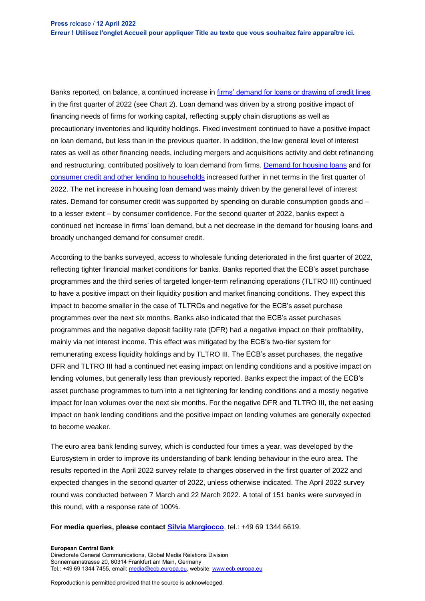Banks reported, on balance, a continued increase in [firms' demand for loans or drawing of credit lines](https://sdw.ecb.europa.eu/quickview.do?SERIES_KEY=258.BLS.Q.U2.ALL.O.E.Z.B3.ZZ.D.WFNET) in the first quarter of 2022 (see Chart 2). Loan demand was driven by a strong positive impact of financing needs of firms for working capital, reflecting supply chain disruptions as well as precautionary inventories and liquidity holdings. Fixed investment continued to have a positive impact on loan demand, but less than in the previous quarter. In addition, the low general level of interest rates as well as other financing needs, including mergers and acquisitions activity and debt refinancing and restructuring, contributed positively to loan demand from firms. Demand [for housing loans](https://sdw.ecb.europa.eu/quickview.do?SERIES_KEY=258.BLS.Q.U2.ALL.Z.H.H.B3.ZZ.D.WFNET) and for [consumer credit and other lending to households](https://sdw.ecb.europa.eu/quickview.do?SERIES_KEY=258.BLS.Q.U2.ALL.Z.H.C.B3.ZZ.D.WFNET) increased further in net terms in the first quarter of 2022. The net increase in housing loan demand was mainly driven by the general level of interest rates. Demand for consumer credit was supported by spending on durable consumption goods and – to a lesser extent – by consumer confidence. For the second quarter of 2022, banks expect a continued net increase in firms' loan demand, but a net decrease in the demand for housing loans and broadly unchanged demand for consumer credit.

According to the banks surveyed, access to wholesale funding deteriorated in the first quarter of 2022, reflecting tighter financial market conditions for banks. Banks reported that the ECB's asset purchase programmes and the third series of targeted longer-term refinancing operations (TLTRO III) continued to have a positive impact on their liquidity position and market financing conditions. They expect this impact to become smaller in the case of TLTROs and negative for the ECB's asset purchase programmes over the next six months. Banks also indicated that the ECB's asset purchases programmes and the negative deposit facility rate (DFR) had a negative impact on their profitability, mainly via net interest income. This effect was mitigated by the ECB's two-tier system for remunerating excess liquidity holdings and by TLTRO III. The ECB's asset purchases, the negative DFR and TLTRO III had a continued net easing impact on lending conditions and a positive impact on lending volumes, but generally less than previously reported. Banks expect the impact of the ECB's asset purchase programmes to turn into a net tightening for lending conditions and a mostly negative impact for loan volumes over the next six months. For the negative DFR and TLTRO III, the net easing impact on bank lending conditions and the positive impact on lending volumes are generally expected to become weaker.

The euro area bank lending survey, which is conducted four times a year, was developed by the Eurosystem in order to improve its understanding of bank lending behaviour in the euro area. The results reported in the April 2022 survey relate to changes observed in the first quarter of 2022 and expected changes in the second quarter of 2022, unless otherwise indicated. The April 2022 survey round was conducted between 7 March and 22 March 2022. A total of 151 banks were surveyed in this round, with a response rate of 100%.

#### **For media queries, please contact [Silvia Margiocco](mailto:silvia.margiocco@ecb.europa.eu)**, tel.: +49 69 1344 6619.

#### **European Central Bank**

Directorate General Communications, Global Media Relations Division Sonnemannstrasse 20, 60314 Frankfurt am Main, Germany Tel.: +49 69 1344 7455, email[: media@ecb.europa.eu,](mailto:media@ecb.europa.eu) website[: www.ecb.europa.eu](http://www.ecb.europa.eu/)

Reproduction is permitted provided that the source is acknowledged.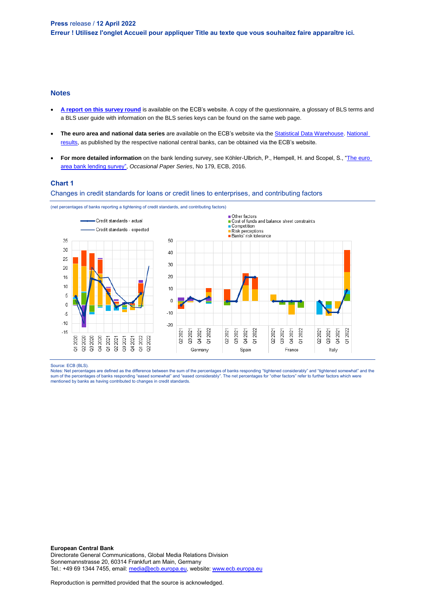#### **Notes**

- **[A report on this survey round](https://www.ecb.europa.eu/stats/ecb_surveys/bank_lending_survey/html/index.en.html)** is available on the ECB's website. A copy of the questionnaire, a glossary of BLS terms and a BLS user guide with information on the BLS series keys can be found on the same web page.
- **The euro area and national data series** are available on the ECB's website via the [Statistical Data Warehouse.](http://sdw.ecb.europa.eu/browse.do?node=9691151) [National](https://www.ecb.europa.eu/stats/ecb_surveys/bank_lending_survey/html/index.en.html)  [results,](https://www.ecb.europa.eu/stats/ecb_surveys/bank_lending_survey/html/index.en.html) as published by the respective national central banks, can be obtained via the ECB's website.
- For more detailed information on the bank lending survey, see Köhler-Ulbrich, P., Hempell, H. and Scopel, S., "The euro [area bank lending survey",](http://www.ecb.europa.eu/pub/pdf/scpops/ecbop179.en.pdf) *Occasional Paper Series*, No 179, ECB, 2016.

### **Chart 1**

Changes in credit standards for loans or credit lines to enterprises, and contributing factors



(net percentages of banks reporting a tightening of credit standards, and contributing factors)

Source: ECB (BLS).

Notes: Net percentages are defined as the difference between the sum of the percentages of banks responding "tightened considerably" and "tightened somewhat" and the sum of the percentages of banks responding "eased somewhat" and "eased considerably". The net percentages for "other factors" refer to further factors which were<br>mentioned by banks as having contributed to changes in credi